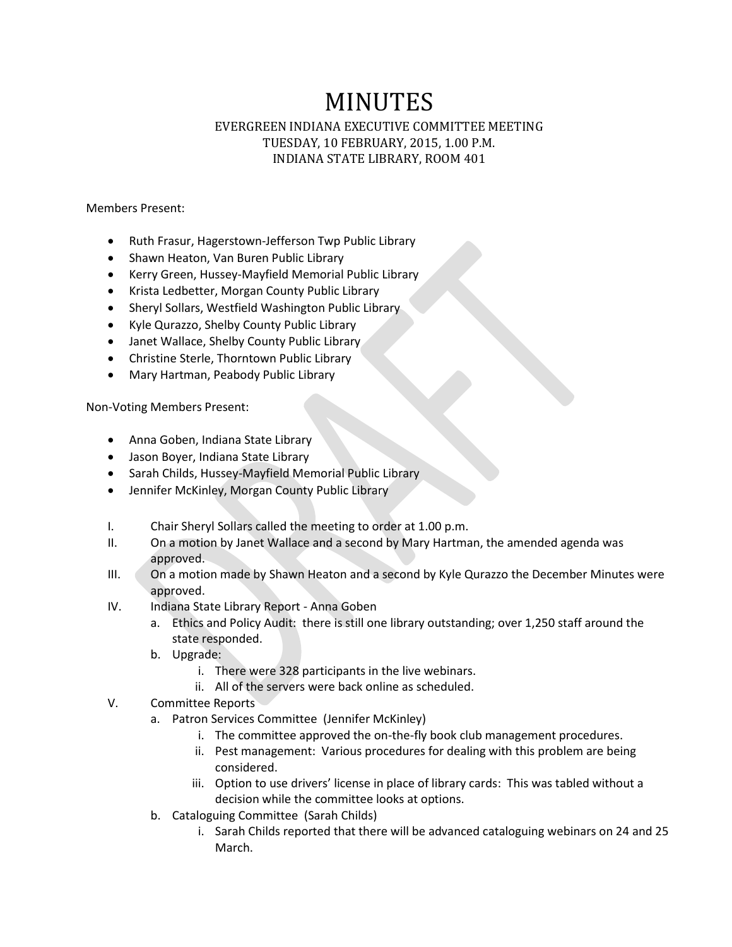## MINUTES

## EVERGREEN INDIANA EXECUTIVE COMMITTEE MEETING TUESDAY, 10 FEBRUARY, 2015, 1.00 P.M. INDIANA STATE LIBRARY, ROOM 401

Members Present:

- Ruth Frasur, Hagerstown-Jefferson Twp Public Library
- Shawn Heaton, Van Buren Public Library
- Kerry Green, Hussey-Mayfield Memorial Public Library
- Krista Ledbetter, Morgan County Public Library
- Sheryl Sollars, Westfield Washington Public Library
- Kyle Qurazzo, Shelby County Public Library
- Janet Wallace, Shelby County Public Library
- Christine Sterle, Thorntown Public Library
- Mary Hartman, Peabody Public Library

Non-Voting Members Present:

- Anna Goben, Indiana State Library
- Jason Boyer, Indiana State Library
- Sarah Childs, Hussey-Mayfield Memorial Public Library
- Jennifer McKinley, Morgan County Public Library
- I. Chair Sheryl Sollars called the meeting to order at 1.00 p.m.
- II. On a motion by Janet Wallace and a second by Mary Hartman, the amended agenda was approved.
- III. On a motion made by Shawn Heaton and a second by Kyle Qurazzo the December Minutes were approved.
- IV. Indiana State Library Report Anna Goben
	- a. Ethics and Policy Audit: there is still one library outstanding; over 1,250 staff around the state responded.
	- b. Upgrade:
		- i. There were 328 participants in the live webinars.
		- ii. All of the servers were back online as scheduled.
- V. Committee Reports
	- a. Patron Services Committee (Jennifer McKinley)
		- i. The committee approved the on-the-fly book club management procedures.
		- ii. Pest management: Various procedures for dealing with this problem are being considered.
		- iii. Option to use drivers' license in place of library cards: This was tabled without a decision while the committee looks at options.
	- b. Cataloguing Committee (Sarah Childs)
		- i. Sarah Childs reported that there will be advanced cataloguing webinars on 24 and 25 March.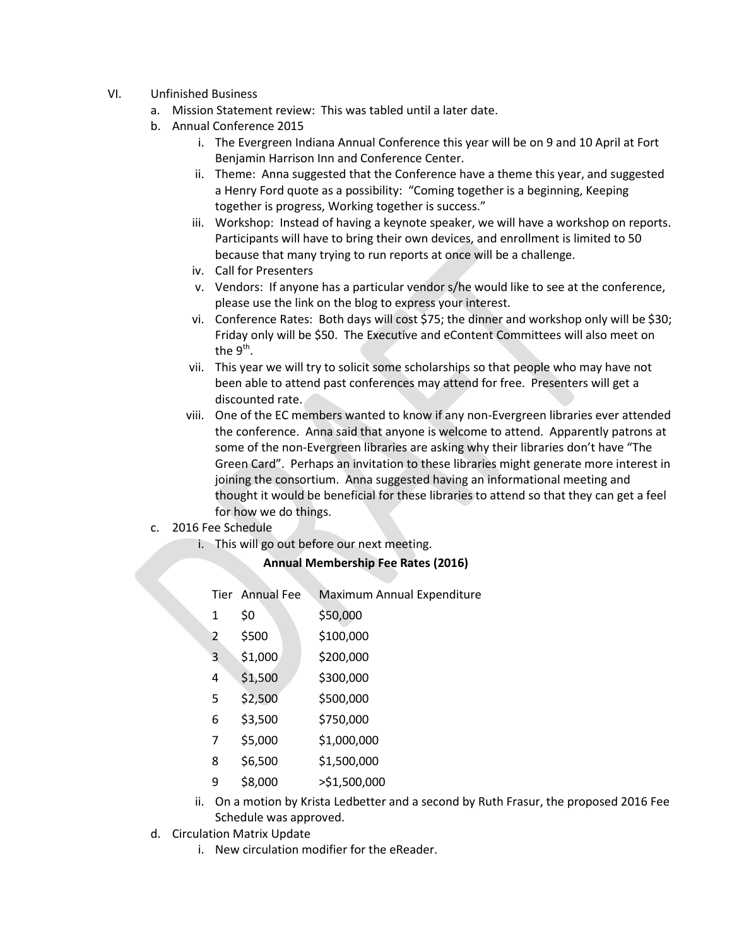- VI. Unfinished Business
	- a. Mission Statement review: This was tabled until a later date.
	- b. Annual Conference 2015
		- i. The Evergreen Indiana Annual Conference this year will be on 9 and 10 April at Fort Benjamin Harrison Inn and Conference Center.
		- ii. Theme: Anna suggested that the Conference have a theme this year, and suggested a Henry Ford quote as a possibility: "Coming together is a beginning, Keeping together is progress, Working together is success."
		- iii. Workshop: Instead of having a keynote speaker, we will have a workshop on reports. Participants will have to bring their own devices, and enrollment is limited to 50 because that many trying to run reports at once will be a challenge.
		- iv. Call for Presenters
		- v. Vendors: If anyone has a particular vendor s/he would like to see at the conference, please use the link on the blog to express your interest.
		- vi. Conference Rates: Both days will cost \$75; the dinner and workshop only will be \$30; Friday only will be \$50. The Executive and eContent Committees will also meet on the 9<sup>th</sup>.
		- vii. This year we will try to solicit some scholarships so that people who may have not been able to attend past conferences may attend for free. Presenters will get a discounted rate.
		- viii. One of the EC members wanted to know if any non-Evergreen libraries ever attended the conference. Anna said that anyone is welcome to attend. Apparently patrons at some of the non-Evergreen libraries are asking why their libraries don't have "The Green Card". Perhaps an invitation to these libraries might generate more interest in joining the consortium. Anna suggested having an informational meeting and thought it would be beneficial for these libraries to attend so that they can get a feel for how we do things.
	- c. 2016 Fee Schedule
		- i. This will go out before our next meeting.

## **Annual Membership Fee Rates (2016)**

|   | Tier Annual Fee | Maximum Annual Expenditure                                |
|---|-----------------|-----------------------------------------------------------|
| 1 | \$0             | \$50,000                                                  |
| 2 | \$500           | \$100,000                                                 |
| 3 | \$1,000         | \$200,000                                                 |
| 4 | \$1,500         | \$300,000                                                 |
| 5 | \$2,500         | \$500,000                                                 |
| 6 | \$3,500         | \$750,000                                                 |
| 7 | \$5,000         | \$1,000,000                                               |
| 8 | \$6,500         | \$1,500,000                                               |
| 9 | \$8,000         | >\$1,500,000                                              |
|   |                 | والملابي والمستحين والمستحيل والمتحارف والمتحال والمتحارب |

- ii. On a motion by Krista Ledbetter and a second by Ruth Frasur, the proposed 2016 Fee Schedule was approved.
- d. Circulation Matrix Update
	- i. New circulation modifier for the eReader.